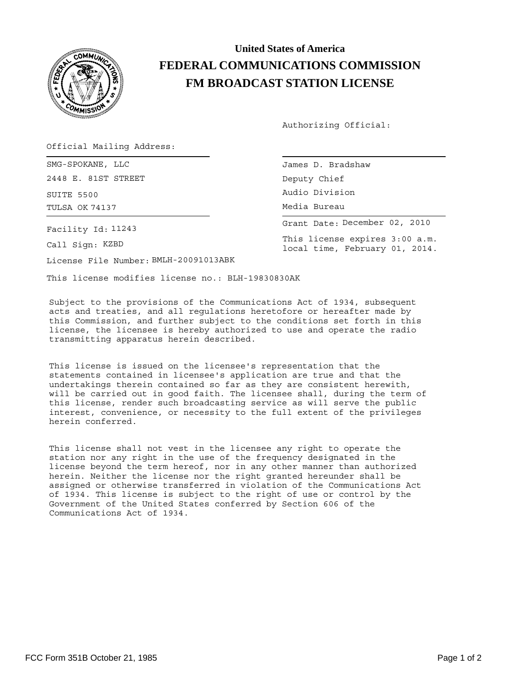

## **United States of America FEDERAL COMMUNICATIONS COMMISSION FM BROADCAST STATION LICENSE**

Authorizing Official:

Deputy Chief

Media Bureau Audio Division

This license expires 3:00 a.m. local time, February 01, 2014.

Grant Date: December 02, 2010

Official Mailing Address:

SMG-SPOKANE, LLC and the set of the set of the James D. Bradshaw 2448 E. 81ST STREET

SUITE 5500 TULSA OK 74137

Facility Id: 11243

Call Sign: KZBD

License File Number: BMLH-20091013ABK

This license modifies license no.: BLH-19830830AK

Subject to the provisions of the Communications Act of 1934, subsequent acts and treaties, and all regulations heretofore or hereafter made by this Commission, and further subject to the conditions set forth in this license, the licensee is hereby authorized to use and operate the radio transmitting apparatus herein described.

This license is issued on the licensee's representation that the statements contained in licensee's application are true and that the undertakings therein contained so far as they are consistent herewith, will be carried out in good faith. The licensee shall, during the term of this license, render such broadcasting service as will serve the public interest, convenience, or necessity to the full extent of the privileges herein conferred.

This license shall not vest in the licensee any right to operate the station nor any right in the use of the frequency designated in the license beyond the term hereof, nor in any other manner than authorized herein. Neither the license nor the right granted hereunder shall be assigned or otherwise transferred in violation of the Communications Act of 1934. This license is subject to the right of use or control by the Government of the United States conferred by Section 606 of the Communications Act of 1934.